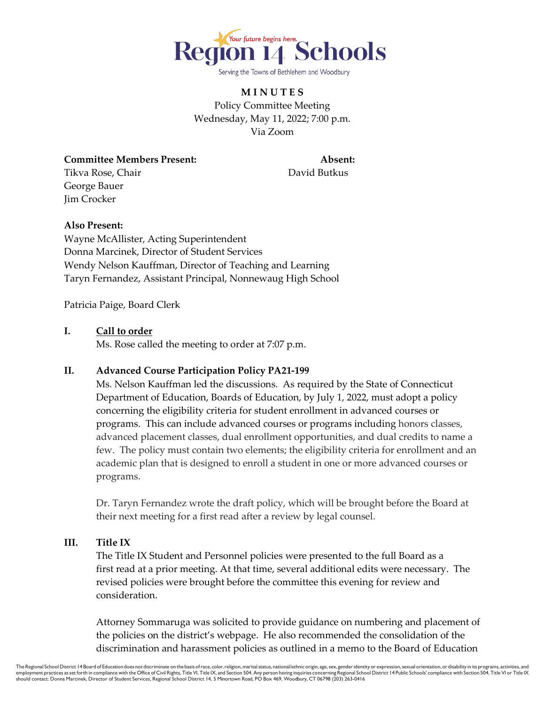

**M I N U T E S** Policy Committee Meeting Wednesday, May 11, 2022; 7:00 p.m. Via Zoom

**Committee Members Present: Absent:** Tikva Rose, Chair **David Butkus** George Bauer Jim Crocker

# **Also Present:**

Wayne McAllister, Acting Superintendent Donna Marcinek, Director of Student Services Wendy Nelson Kauffman, Director of Teaching and Learning Taryn Fernandez, Assistant Principal, Nonnewaug High School

Patricia Paige, Board Clerk

### **I. Call to order**

Ms. Rose called the meeting to order at 7:07 p.m.

# **II. Advanced Course Participation Policy PA21-199**

Ms. Nelson Kauffman led the discussions. As required by the State of Connecticut Department of Education, Boards of Education, by July 1, 2022, must adopt a policy concerning the eligibility criteria for student enrollment in advanced courses or programs. This can include advanced courses or programs including honors classes, advanced placement classes, dual enrollment opportunities, and dual credits to name a few. The policy must contain two elements; the eligibility criteria for enrollment and an academic plan that is designed to enroll a student in one or more advanced courses or programs.

Dr. Taryn Fernandez wrote the draft policy, which will be brought before the Board at their next meeting for a first read after a review by legal counsel.

# **III. Title IX**

The Title IX Student and Personnel policies were presented to the full Board as a first read at a prior meeting. At that time, several additional edits were necessary. The revised policies were brought before the committee this evening for review and consideration.

Attorney Sommaruga was solicited to provide guidance on numbering and placement of the policies on the district's webpage. He also recommended the consolidation of the discrimination and harassment policies as outlined in a memo to the Board of Education